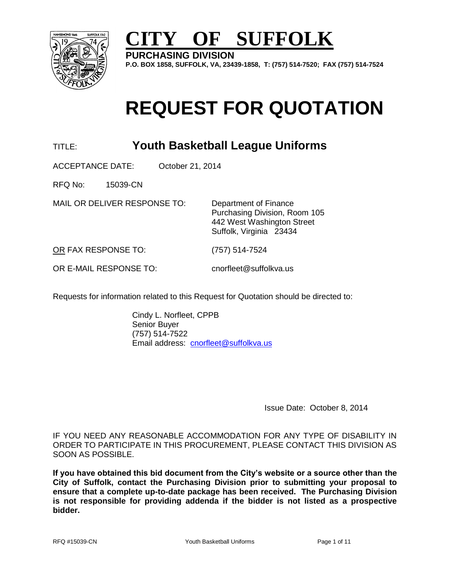



**PURCHASING DIVISION P.O. BOX 1858, SUFFOLK, VA, 23439-1858, T: (757) 514-7520; FAX (757) 514-7524**

# **REQUEST FOR QUOTATION**

# TITLE: **Youth Basketball League Uniforms**

ACCEPTANCE DATE: October 21, 2014

RFQ No: 15039-CN

MAIL OR DELIVER RESPONSE TO: Department of Finance

Purchasing Division, Room 105 442 West Washington Street Suffolk, Virginia 23434

OR FAX RESPONSE TO: (757) 514-7524

OR E-MAIL RESPONSE TO: cnorfleet@suffolkva.us

Requests for information related to this Request for Quotation should be directed to:

Cindy L. Norfleet, CPPB Senior Buyer (757) 514-7522 Email address: [cnorfleet@suffolkva.us](mailto:cnorfleet@suffolkva.us)

Issue Date: October 8, 2014

IF YOU NEED ANY REASONABLE ACCOMMODATION FOR ANY TYPE OF DISABILITY IN ORDER TO PARTICIPATE IN THIS PROCUREMENT, PLEASE CONTACT THIS DIVISION AS SOON AS POSSIBLE.

**If you have obtained this bid document from the City's website or a source other than the City of Suffolk, contact the Purchasing Division prior to submitting your proposal to ensure that a complete up-to-date package has been received. The Purchasing Division is not responsible for providing addenda if the bidder is not listed as a prospective bidder.**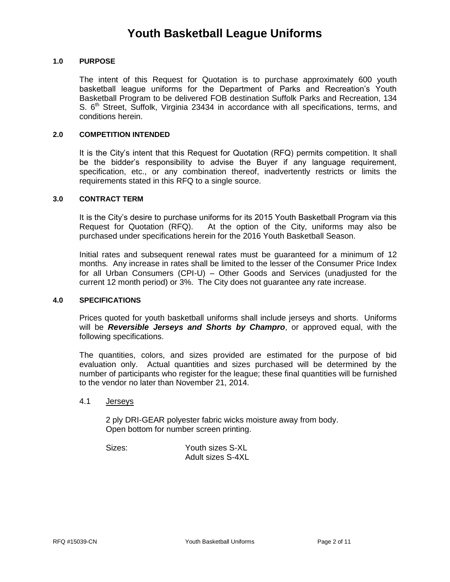# **Youth Basketball League Uniforms**

#### **1.0 PURPOSE**

The intent of this Request for Quotation is to purchase approximately 600 youth basketball league uniforms for the Department of Parks and Recreation's Youth Basketball Program to be delivered FOB destination Suffolk Parks and Recreation, 134 S.  $6<sup>th</sup>$  Street, Suffolk, Virginia 23434 in accordance with all specifications, terms, and conditions herein.

#### **2.0 COMPETITION INTENDED**

It is the City's intent that this Request for Quotation (RFQ) permits competition. It shall be the bidder's responsibility to advise the Buyer if any language requirement, specification, etc., or any combination thereof, inadvertently restricts or limits the requirements stated in this RFQ to a single source.

#### **3.0 CONTRACT TERM**

It is the City's desire to purchase uniforms for its 2015 Youth Basketball Program via this Request for Quotation (RFQ). At the option of the City, uniforms may also be purchased under specifications herein for the 2016 Youth Basketball Season.

Initial rates and subsequent renewal rates must be guaranteed for a minimum of 12 months. Any increase in rates shall be limited to the lesser of the Consumer Price Index for all Urban Consumers (CPI-U) – Other Goods and Services (unadjusted for the current 12 month period) or 3%. The City does not guarantee any rate increase.

# **4.0 SPECIFICATIONS**

Prices quoted for youth basketball uniforms shall include jerseys and shorts. Uniforms will be *Reversible Jerseys and Shorts by Champro*, or approved equal, with the following specifications.

The quantities, colors, and sizes provided are estimated for the purpose of bid evaluation only. Actual quantities and sizes purchased will be determined by the number of participants who register for the league; these final quantities will be furnished to the vendor no later than November 21, 2014.

4.1 Jerseys

2 ply DRI-GEAR polyester fabric wicks moisture away from body. Open bottom for number screen printing.

Sizes: Youth sizes S-XL Adult sizes S-4XL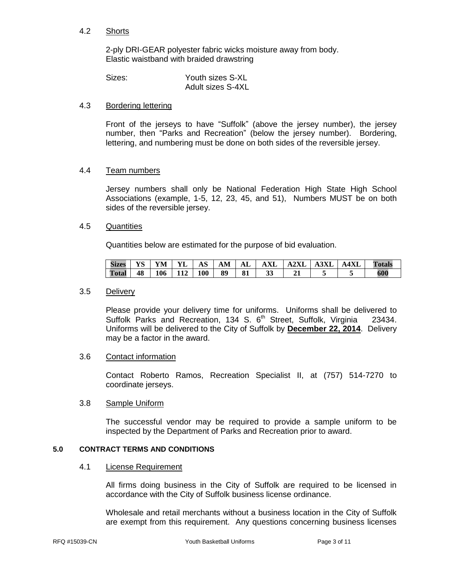#### 4.2 Shorts

2-ply DRI-GEAR polyester fabric wicks moisture away from body. Elastic waistband with braided drawstring

| Sizes: | Youth sizes S-XL  |
|--------|-------------------|
|        | Adult sizes S-4XL |

# 4.3 Bordering lettering

Front of the jerseys to have "Suffolk" (above the jersey number), the jersey number, then "Parks and Recreation" (below the jersey number). Bordering, lettering, and numbering must be done on both sides of the reversible jersey.

#### 4.4 Team numbers

Jersey numbers shall only be National Federation High State High School Associations (example, 1-5, 12, 23, 45, and 51), Numbers MUST be on both sides of the reversible jersey.

#### 4.5 Quantities

Quantities below are estimated for the purpose of bid evaluation.

| <b>Sizes</b> | VC | YM  | YL  | AS         | AM | AL | <b>AXL</b> | A2XL | A3XL | <b>A4XL</b> | Totals |
|--------------|----|-----|-----|------------|----|----|------------|------|------|-------------|--------|
| <b>Total</b> | 48 | 106 | 112 | <b>100</b> | 89 |    | 33         |      |      |             | 600    |

#### 3.5 Delivery

Please provide your delivery time for uniforms. Uniforms shall be delivered to Suffolk Parks and Recreation, 134 S.  $6<sup>th</sup>$  Street, Suffolk, Virginia 23434. Uniforms will be delivered to the City of Suffolk by **December 22, 2014**. Delivery may be a factor in the award.

#### 3.6 Contact information

Contact Roberto Ramos, Recreation Specialist II, at (757) 514-7270 to coordinate jerseys.

#### 3.8 Sample Uniform

The successful vendor may be required to provide a sample uniform to be inspected by the Department of Parks and Recreation prior to award.

#### **5.0 CONTRACT TERMS AND CONDITIONS**

#### 4.1 License Requirement

All firms doing business in the City of Suffolk are required to be licensed in accordance with the City of Suffolk business license ordinance.

Wholesale and retail merchants without a business location in the City of Suffolk are exempt from this requirement. Any questions concerning business licenses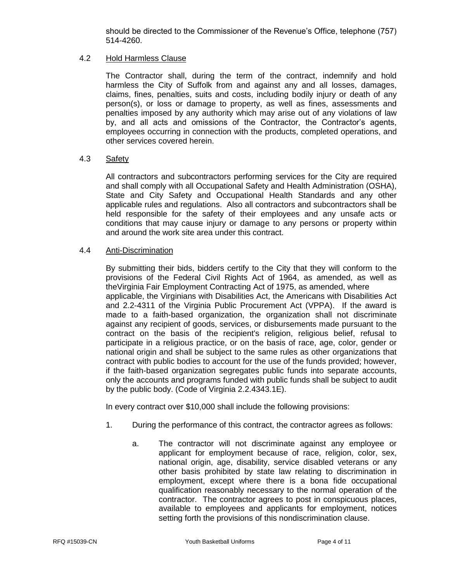should be directed to the Commissioner of the Revenue's Office, telephone (757) 514-4260.

# 4.2 Hold Harmless Clause

The Contractor shall, during the term of the contract, indemnify and hold harmless the City of Suffolk from and against any and all losses, damages, claims, fines, penalties, suits and costs, including bodily injury or death of any person(s), or loss or damage to property, as well as fines, assessments and penalties imposed by any authority which may arise out of any violations of law by, and all acts and omissions of the Contractor, the Contractor's agents, employees occurring in connection with the products, completed operations, and other services covered herein.

# 4.3 Safety

All contractors and subcontractors performing services for the City are required and shall comply with all Occupational Safety and Health Administration (OSHA), State and City Safety and Occupational Health Standards and any other applicable rules and regulations. Also all contractors and subcontractors shall be held responsible for the safety of their employees and any unsafe acts or conditions that may cause injury or damage to any persons or property within and around the work site area under this contract.

# 4.4 Anti-Discrimination

By submitting their bids, bidders certify to the City that they will conform to the provisions of the Federal Civil Rights Act of 1964, as amended, as well as theVirginia Fair Employment Contracting Act of 1975, as amended, where applicable, the Virginians with Disabilities Act, the Americans with Disabilities Act and 2.2-4311 of the Virginia Public Procurement Act (VPPA). If the award is made to a faith-based organization, the organization shall not discriminate against any recipient of goods, services, or disbursements made pursuant to the contract on the basis of the recipient's religion, religious belief, refusal to participate in a religious practice, or on the basis of race, age, color, gender or national origin and shall be subject to the same rules as other organizations that contract with public bodies to account for the use of the funds provided; however, if the faith-based organization segregates public funds into separate accounts, only the accounts and programs funded with public funds shall be subject to audit by the public body. (Code of Virginia 2.2.4343.1E).

In every contract over \$10,000 shall include the following provisions:

- 1. During the performance of this contract, the contractor agrees as follows:
	- a. The contractor will not discriminate against any employee or applicant for employment because of race, religion, color, sex, national origin, age, disability, service disabled veterans or any other basis prohibited by state law relating to discrimination in employment, except where there is a bona fide occupational qualification reasonably necessary to the normal operation of the contractor. The contractor agrees to post in conspicuous places, available to employees and applicants for employment, notices setting forth the provisions of this nondiscrimination clause.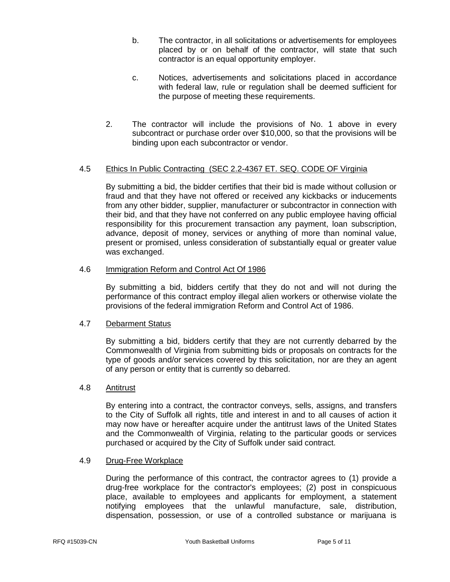- b. The contractor, in all solicitations or advertisements for employees placed by or on behalf of the contractor, will state that such contractor is an equal opportunity employer.
- c. Notices, advertisements and solicitations placed in accordance with federal law, rule or regulation shall be deemed sufficient for the purpose of meeting these requirements.
- 2. The contractor will include the provisions of No. 1 above in every subcontract or purchase order over \$10,000, so that the provisions will be binding upon each subcontractor or vendor.

# 4.5 Ethics In Public Contracting (SEC 2.2-4367 ET. SEQ. CODE OF Virginia

By submitting a bid, the bidder certifies that their bid is made without collusion or fraud and that they have not offered or received any kickbacks or inducements from any other bidder, supplier, manufacturer or subcontractor in connection with their bid, and that they have not conferred on any public employee having official responsibility for this procurement transaction any payment, loan subscription, advance, deposit of money, services or anything of more than nominal value, present or promised, unless consideration of substantially equal or greater value was exchanged.

## 4.6 Immigration Reform and Control Act Of 1986

By submitting a bid, bidders certify that they do not and will not during the performance of this contract employ illegal alien workers or otherwise violate the provisions of the federal immigration Reform and Control Act of 1986.

# 4.7 Debarment Status

By submitting a bid, bidders certify that they are not currently debarred by the Commonwealth of Virginia from submitting bids or proposals on contracts for the type of goods and/or services covered by this solicitation, nor are they an agent of any person or entity that is currently so debarred.

## 4.8 Antitrust

By entering into a contract, the contractor conveys, sells, assigns, and transfers to the City of Suffolk all rights, title and interest in and to all causes of action it may now have or hereafter acquire under the antitrust laws of the United States and the Commonwealth of Virginia, relating to the particular goods or services purchased or acquired by the City of Suffolk under said contract.

# 4.9 Drug-Free Workplace

During the performance of this contract, the contractor agrees to (1) provide a drug-free workplace for the contractor's employees; (2) post in conspicuous place, available to employees and applicants for employment, a statement notifying employees that the unlawful manufacture, sale, distribution, dispensation, possession, or use of a controlled substance or marijuana is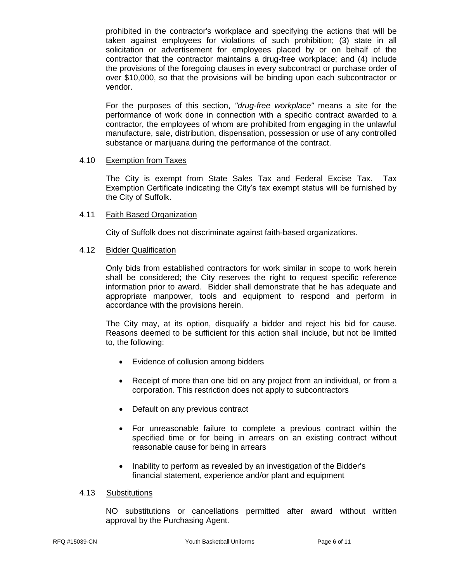prohibited in the contractor's workplace and specifying the actions that will be taken against employees for violations of such prohibition; (3) state in all solicitation or advertisement for employees placed by or on behalf of the contractor that the contractor maintains a drug-free workplace; and (4) include the provisions of the foregoing clauses in every subcontract or purchase order of over \$10,000, so that the provisions will be binding upon each subcontractor or vendor.

For the purposes of this section, *"drug-free workplace"* means a site for the performance of work done in connection with a specific contract awarded to a contractor, the employees of whom are prohibited from engaging in the unlawful manufacture, sale, distribution, dispensation, possession or use of any controlled substance or marijuana during the performance of the contract.

## 4.10 Exemption from Taxes

The City is exempt from State Sales Tax and Federal Excise Tax. Tax Exemption Certificate indicating the City's tax exempt status will be furnished by the City of Suffolk.

# 4.11 Faith Based Organization

City of Suffolk does not discriminate against faith-based organizations.

## 4.12 Bidder Qualification

Only bids from established contractors for work similar in scope to work herein shall be considered; the City reserves the right to request specific reference information prior to award. Bidder shall demonstrate that he has adequate and appropriate manpower, tools and equipment to respond and perform in accordance with the provisions herein.

The City may, at its option, disqualify a bidder and reject his bid for cause. Reasons deemed to be sufficient for this action shall include, but not be limited to, the following:

- Evidence of collusion among bidders
- Receipt of more than one bid on any project from an individual, or from a corporation. This restriction does not apply to subcontractors
- Default on any previous contract
- For unreasonable failure to complete a previous contract within the specified time or for being in arrears on an existing contract without reasonable cause for being in arrears
- Inability to perform as revealed by an investigation of the Bidder's financial statement, experience and/or plant and equipment

# 4.13 Substitutions

NO substitutions or cancellations permitted after award without written approval by the Purchasing Agent.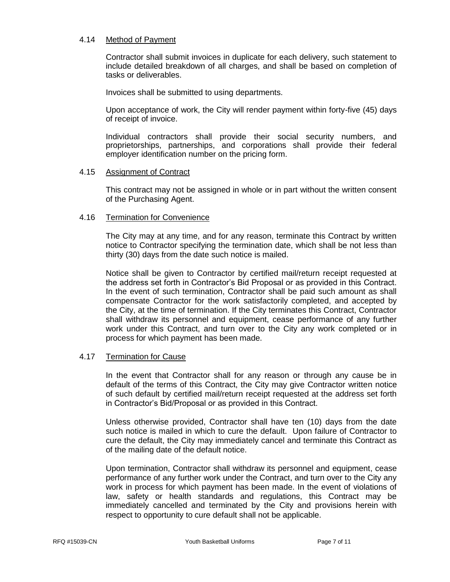## 4.14 Method of Payment

Contractor shall submit invoices in duplicate for each delivery, such statement to include detailed breakdown of all charges, and shall be based on completion of tasks or deliverables.

Invoices shall be submitted to using departments.

Upon acceptance of work, the City will render payment within forty-five (45) days of receipt of invoice.

Individual contractors shall provide their social security numbers, and proprietorships, partnerships, and corporations shall provide their federal employer identification number on the pricing form.

#### 4.15 Assignment of Contract

This contract may not be assigned in whole or in part without the written consent of the Purchasing Agent.

#### 4.16 Termination for Convenience

The City may at any time, and for any reason, terminate this Contract by written notice to Contractor specifying the termination date, which shall be not less than thirty (30) days from the date such notice is mailed.

Notice shall be given to Contractor by certified mail/return receipt requested at the address set forth in Contractor's Bid Proposal or as provided in this Contract. In the event of such termination, Contractor shall be paid such amount as shall compensate Contractor for the work satisfactorily completed, and accepted by the City, at the time of termination. If the City terminates this Contract, Contractor shall withdraw its personnel and equipment, cease performance of any further work under this Contract, and turn over to the City any work completed or in process for which payment has been made.

## 4.17 Termination for Cause

In the event that Contractor shall for any reason or through any cause be in default of the terms of this Contract, the City may give Contractor written notice of such default by certified mail/return receipt requested at the address set forth in Contractor's Bid/Proposal or as provided in this Contract.

Unless otherwise provided, Contractor shall have ten (10) days from the date such notice is mailed in which to cure the default. Upon failure of Contractor to cure the default, the City may immediately cancel and terminate this Contract as of the mailing date of the default notice.

Upon termination, Contractor shall withdraw its personnel and equipment, cease performance of any further work under the Contract, and turn over to the City any work in process for which payment has been made. In the event of violations of law, safety or health standards and regulations, this Contract may be immediately cancelled and terminated by the City and provisions herein with respect to opportunity to cure default shall not be applicable.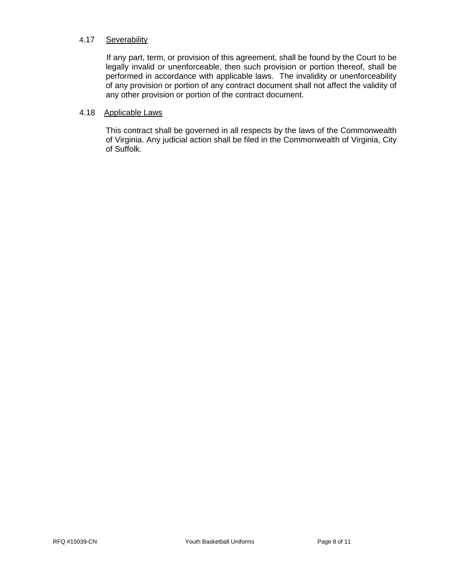# 4.17 Severability

If any part, term, or provision of this agreement, shall be found by the Court to be legally invalid or unenforceable, then such provision or portion thereof, shall be performed in accordance with applicable laws. The invalidity or unenforceability of any provision or portion of any contract document shall not affect the validity of any other provision or portion of the contract document.

## 4.18 Applicable Laws

This contract shall be governed in all respects by the laws of the Commonwealth of Virginia. Any judicial action shall be filed in the Commonwealth of Virginia, City of Suffolk.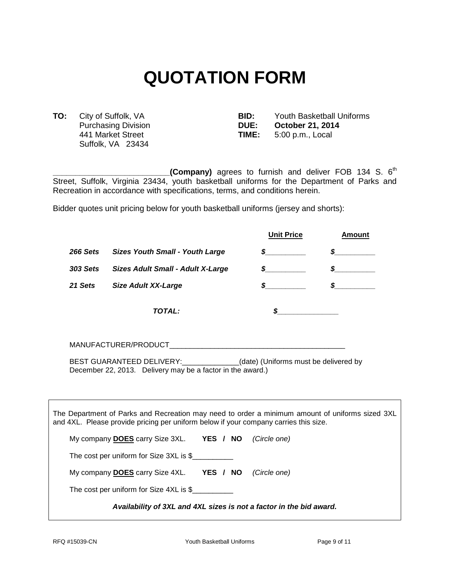# **QUOTATION FORM**

Suffolk, VA 23434

**TO:** City of Suffolk, VA **BID:** Youth Basketball Uniforms Purchasing Division **DUE: October 21, 2014** 441 Market Street **TIME:** 5:00 p.m., Local

**\_(Company)** agrees to furnish and deliver FOB 134 S. 6<sup>th</sup> Street, Suffolk, Virginia 23434, youth basketball uniforms for the Department of Parks and Recreation in accordance with specifications, terms, and conditions herein.

Bidder quotes unit pricing below for youth basketball uniforms (jersey and shorts):

|                 |                                          | <b>Unit Price</b> | <b>Amount</b> |
|-----------------|------------------------------------------|-------------------|---------------|
| 266 Sets        | <b>Sizes Youth Small - Youth Large</b>   | S.                |               |
| <b>303 Sets</b> | <b>Sizes Adult Small - Adult X-Large</b> | S                 |               |
| 21 Sets         | <b>Size Adult XX-Large</b>               | S.                |               |
|                 | TOTAL:                                   |                   |               |

MANUFACTURER/PRODUCT

BEST GUARANTEED DELIVERY: \_\_\_\_\_\_\_\_\_\_\_\_\_\_\_(date) (Uniforms must be delivered by December 22, 2013. Delivery may be a factor in the award.)

| The Department of Parks and Recreation may need to order a minimum amount of uniforms sized 3XL<br>and 4XL. Please provide pricing per uniform below if your company carries this size. |  |  |  |  |  |
|-----------------------------------------------------------------------------------------------------------------------------------------------------------------------------------------|--|--|--|--|--|
| My company <b>DOES</b> carry Size 3XL. YES / NO (Circle one)                                                                                                                            |  |  |  |  |  |
| The cost per uniform for Size 3XL is \$                                                                                                                                                 |  |  |  |  |  |
| My company DOES carry Size 4XL. YES / NO (Circle one)                                                                                                                                   |  |  |  |  |  |
| The cost per uniform for Size 4XL is \$                                                                                                                                                 |  |  |  |  |  |
| Availability of 3XL and 4XL sizes is not a factor in the bid award.                                                                                                                     |  |  |  |  |  |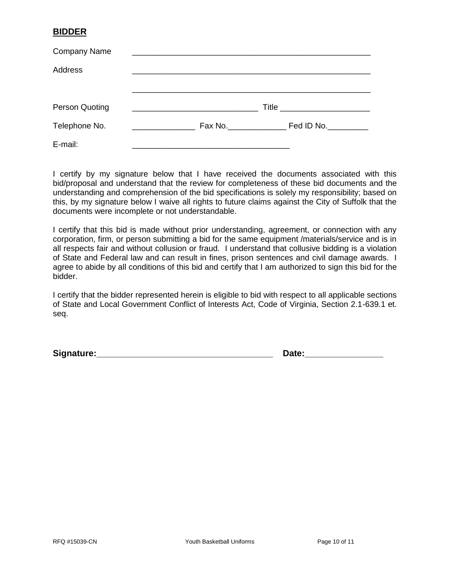# **BIDDER**

| <b>Company Name</b> |                                                                                                                                                                                                                                    |
|---------------------|------------------------------------------------------------------------------------------------------------------------------------------------------------------------------------------------------------------------------------|
| Address             |                                                                                                                                                                                                                                    |
| Person Quoting      | <b>Title The Community of the Community of the Community of the Community of the Community of the Community of the Community of the Community of the Community of the Community of the Community of the Community of the Commu</b> |
| Telephone No.       | Fax No.<br>Fed ID No.                                                                                                                                                                                                              |
| E-mail:             |                                                                                                                                                                                                                                    |

I certify by my signature below that I have received the documents associated with this bid/proposal and understand that the review for completeness of these bid documents and the understanding and comprehension of the bid specifications is solely my responsibility; based on this, by my signature below I waive all rights to future claims against the City of Suffolk that the documents were incomplete or not understandable.

I certify that this bid is made without prior understanding, agreement, or connection with any corporation, firm, or person submitting a bid for the same equipment /materials/service and is in all respects fair and without collusion or fraud. I understand that collusive bidding is a violation of State and Federal law and can result in fines, prison sentences and civil damage awards. I agree to abide by all conditions of this bid and certify that I am authorized to sign this bid for the bidder.

I certify that the bidder represented herein is eligible to bid with respect to all applicable sections of State and Local Government Conflict of Interests Act, Code of Virginia, Section 2.1-639.1 et. seq.

**Signature:\_\_\_\_\_\_\_\_\_\_\_\_\_\_\_\_\_\_\_\_\_\_\_\_\_\_\_\_\_\_\_\_\_\_\_\_ Date:\_\_\_\_\_\_\_\_\_\_\_\_\_\_\_\_**